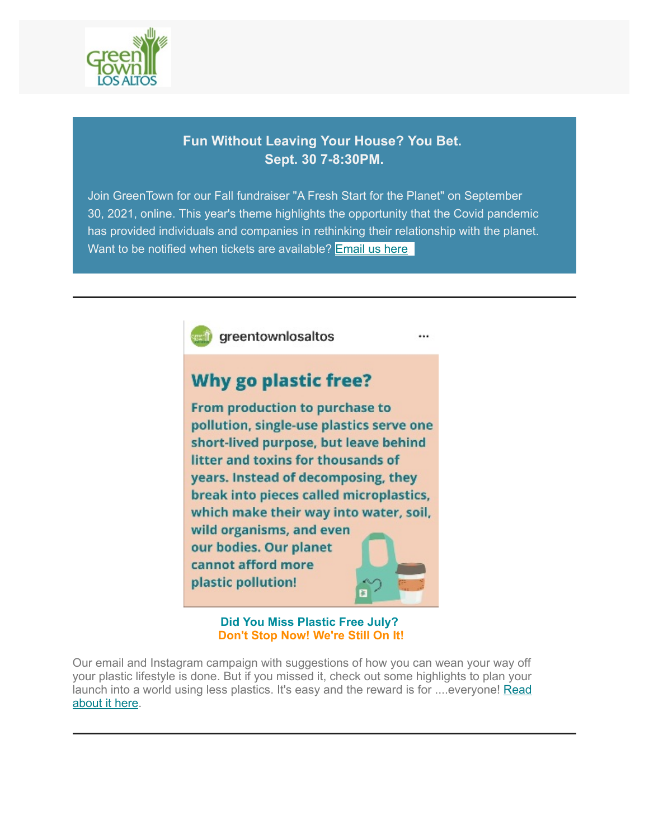

# **Fun Without Leaving Your House? You Bet. Sept. 30 7-8:30PM.**

Join GreenTown for our Fall fundraiser "A Fresh Start for the Planet" on September 30, 2021, online. This year's theme highlights the opportunity that the Covid pandemic has provided individuals and companies in rethinking their relationship with the planet. Want to be notified when tickets are available? **Email us here**.



**Did You Miss Plastic Free July? Don't Stop Now! We're Still On It!**

Our email and Instagram campaign with suggestions of how you can wean your way off your plastic lifestyle is done. But if you missed it, check out some highlights to plan your [launch into a world using less plastics. It's easy and the reward is for ....everyone! Read](https://www.greentownlosaltos.org/post/leave-plastic-behind) about it here.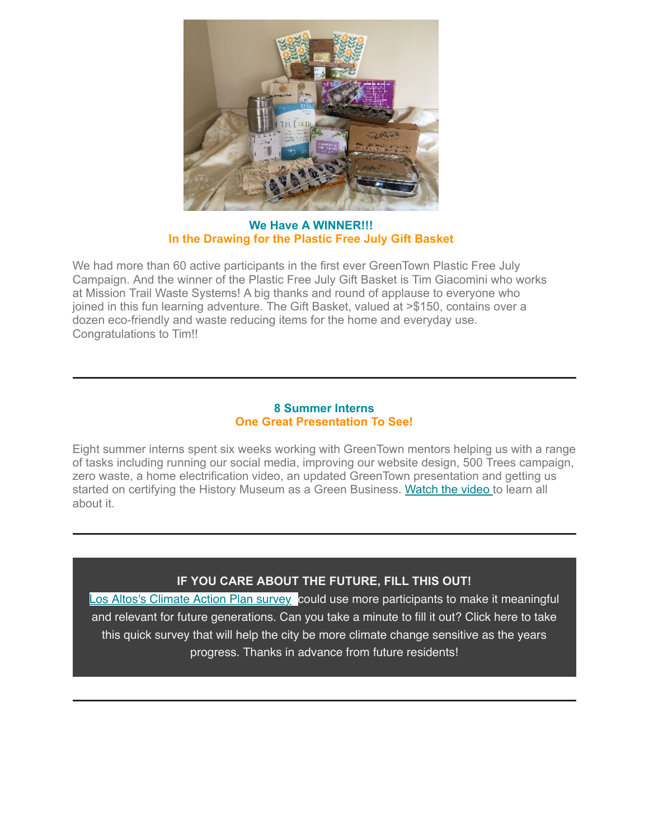

**We Have A WINNER!!! In the Drawing for the Plastic Free July Gift Basket**

We had more than 60 active participants in the first ever GreenTown Plastic Free July Campaign. And the winner of the Plastic Free July Gift Basket is Tim Giacomini who works at Mission Trail Waste Systems! A big thanks and round of applause to everyone who joined in this fun learning adventure. The Gift Basket, valued at >\$150, contains over a dozen eco-friendly and waste reducing items for the home and everyday use. Congratulations to Tim!!

# **8 Summer Interns One Great Presentation To See!**

Eight summer interns spent six weeks working with GreenTown mentors helping us with a range of tasks including running our social media, improving our website design, 500 Trees campaign, zero waste, a home electrification video, an updated GreenTown presentation and getting us started on certifying the History Museum as a Green Business. [Watch the video](https://www.youtube.com/watch?v=LsnzVA6EJHU) to learn all about it.

# **IF YOU CARE ABOUT THE FUTURE, FILL THIS OUT!**

[Los Altos's Climate Action Plan survey](https://www.opentownhall.com/portals/225/Issue_10908) could use more participants to make it meaningful and relevant for future generations. Can you take a minute to fill it out? Click here to take this quick survey that will help the city be more climate change sensitive as the years progress. Thanks in advance from future residents!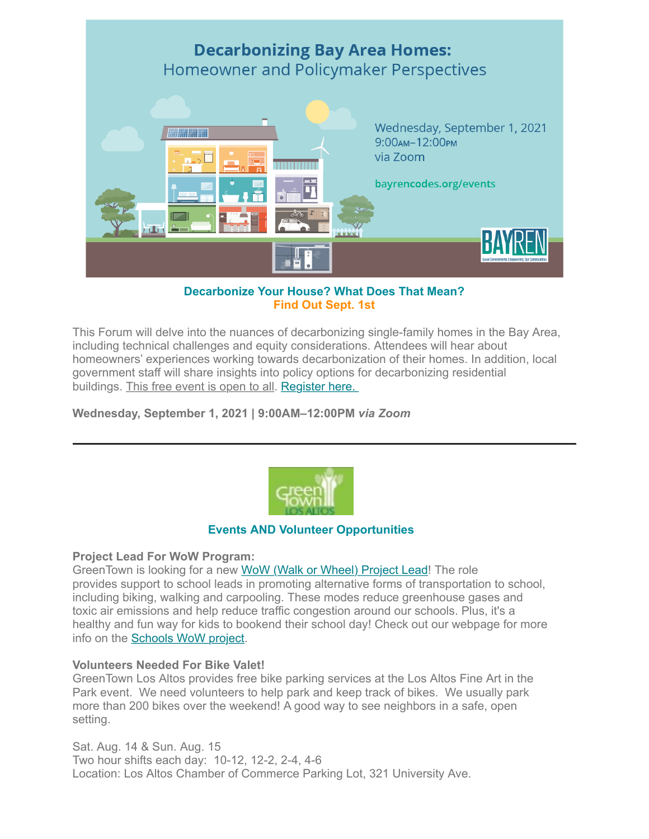

# **Decarbonize Your House? What Does That Mean? Find Out Sept. 1st**

This Forum will delve into the nuances of decarbonizing single-family homes in the Bay Area, including technical challenges and equity considerations. Attendees will hear about homeowners' experiences working towards decarbonization of their homes. In addition, local government staff will share insights into policy options for decarbonizing residential buildings. This free event is open to all. [Register here.](https://us06web.zoom.us/webinar/register/WN_1t1rt1W1QoaCWgNpB8ch5Q) 

**Wednesday, September 1, 2021 | 9:00AM–12:00PM** *via Zoom*



# **Events AND Volunteer Opportunities**

# **Project Lead For WoW Program:**

GreenTown is looking for a new [WoW \(Walk or Wheel\) Project Lead!](https://www.greentownlosaltos.org/vounteer-intern) The role provides support to school leads in promoting alternative forms of transportation to school, including biking, walking and carpooling. These modes reduce greenhouse gases and toxic air emissions and help reduce traffic congestion around our schools. Plus, it's a healthy and fun way for kids to bookend their school day! Check out our webpage for more info on the [Schools WoW project.](https://www.greentownlosaltos.org/schoolswow)

# **Volunteers Needed For Bike Valet!**

GreenTown Los Altos provides free bike parking services at the Los Altos Fine Art in the Park event. We need volunteers to help park and keep track of bikes. We usually park more than 200 bikes over the weekend! A good way to see neighbors in a safe, open setting.

Sat. Aug. 14 & Sun. Aug. 15 Two hour shifts each day: 10-12, 12-2, 2-4, 4-6 Location: Los Altos Chamber of Commerce Parking Lot, 321 University Ave.